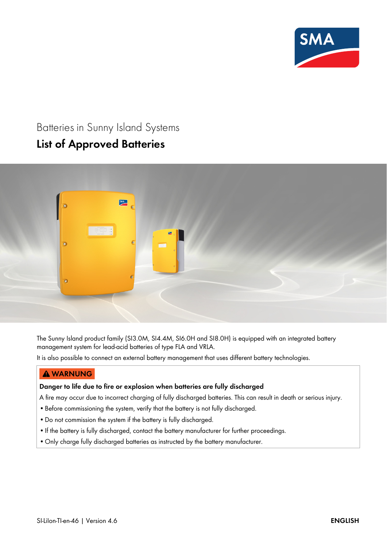

# Batteries in Sunny Island Systems **List of Approved Batteries**

# SMA  $\ddot{\bullet}$  $\overline{\mathbf{0}}$

The Sunny Island product family (SI3.0M, SI4.4M, SI6.0H and SI8.0H) is equipped with an integrated battery management system for lead-acid batteries of type FLA and VRLA.

It is also possible to connect an external battery management that uses different battery technologies.

# $\triangle$  WARNUNG

### **Danger to life due to fire or explosion when batteries are fully discharged**

A fire may occur due to incorrect charging of fully discharged batteries. This can result in death or serious injury.

- •Before commissioning the system, verify that the battery is not fully discharged.
- •Do not commission the system if the battery is fully discharged.
- If the battery is fully discharged, contact the battery manufacturer for further proceedings.
- •Only charge fully discharged batteries as instructed by the battery manufacturer.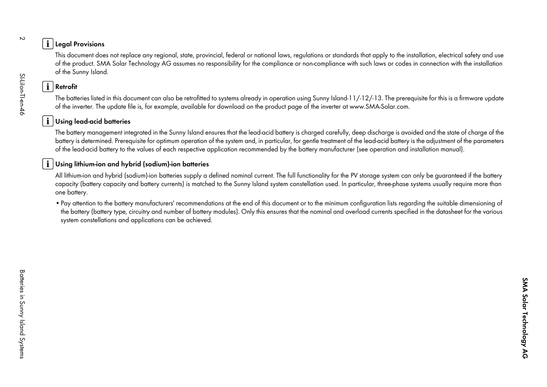The particular term in replace any regional side, positival (redeal of national laws, regulation or standard field gaply to the installation, electrical stiffy and use of the positive SMA state. The formulation of the stat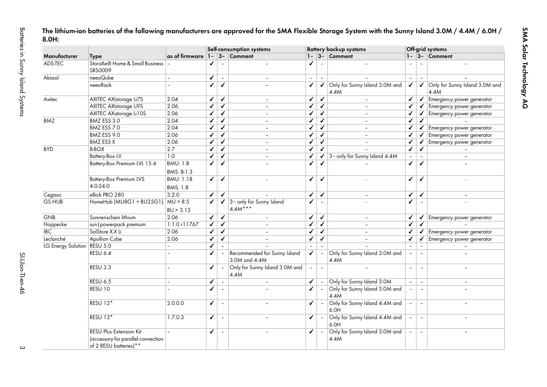|                    |                                                                                                |                               |                         |                          | Self-consumption systems                      |                |                | <b>Battery backup systems</b>              |                |                          | Off-grid systems                       |
|--------------------|------------------------------------------------------------------------------------------------|-------------------------------|-------------------------|--------------------------|-----------------------------------------------|----------------|----------------|--------------------------------------------|----------------|--------------------------|----------------------------------------|
| Manufacturer       | <b>Type</b>                                                                                    | as of firmware 1-             |                         |                          | $3 -$ Comment                                 | $1 -$          |                | $3 -$ Comment                              |                |                          | $1 - 3 -$ Comment                      |
| ADS-TEC            | StoraXe® Home & Small Business<br>SRS0009                                                      |                               | ✔                       |                          |                                               | ✔              |                |                                            |                |                          |                                        |
| Akasol             | neeoQube                                                                                       |                               | ✓                       | $\omega$                 | $\equiv$                                      | $\equiv$       | $\sim$         |                                            | $\equiv$       | $\sim$                   |                                        |
|                    | neeoRack                                                                                       |                               | ✓                       | $\checkmark$             |                                               | ✓              | $\checkmark$   | Only for Sunny Island 3.0M and<br>4.4M     | ✓              | $\checkmark$             | Only for Sunny Island 3.0M and<br>4.4M |
| Axitec             | <b>AXITEC AXIstorage Li7S</b>                                                                  | 2.04                          | ✓                       | $\checkmark$             | $\sim$                                        | ✓              | $\checkmark$   | $\overline{\phantom{a}}$                   | ✓              | ✔                        | Emergency power generator              |
|                    | <b>AXITEC AXIstorage Li9S</b>                                                                  | 2.06                          | ✓                       | ✓                        | $\equiv$                                      | ✔              | $\checkmark$   |                                            | ✓              |                          | $\checkmark$ Emergency power generator |
|                    | <b>AXITEC AXistorage Li10S</b>                                                                 | 2.06                          | ✓                       | $\checkmark$             | $\equiv$                                      | ✔              | $\checkmark$   |                                            | ✓              | ✓                        | Emergency power generator              |
| <b>BMZ</b>         | BMZ ESS 3.0                                                                                    | 2.04                          | ✓                       | $\checkmark$             | $\equiv$                                      | ✓              | $\checkmark$   | $\equiv$                                   | ✓              | ✓                        |                                        |
|                    | BMZ ESS 7.0                                                                                    | 2.04                          | ✓                       | ✓                        | $\equiv$                                      | ✓              | $\checkmark$   | $\equiv$                                   | $\checkmark$   | $\checkmark$             | Emergency power generator              |
|                    | BMZ ESS 9.0                                                                                    | 2.06                          | ✓                       | $\checkmark$             | $\blacksquare$                                | ✔              | ✔              | $\sim$                                     | ✓              | ✓                        | Emergency power generator              |
|                    | <b>BMZ ESS X</b>                                                                               | 2.06                          | ✓                       | $\checkmark$             | $\equiv$                                      | ✔              | $\checkmark$   | $\blacksquare$                             | ✔              | ✔                        | Emergency power generator              |
| <b>BYD</b>         | <b>B-BOX</b>                                                                                   | $\overline{2.7}$              | ✓                       | ✓                        | $\equiv$                                      | ✔              | $\checkmark$   |                                            | ✓              | ✔                        |                                        |
|                    | <b>Battery-Box LV</b>                                                                          | $\overline{1.0}$              | ✔                       | $\checkmark$             | $\equiv$                                      | ✓              |                | $\checkmark$ 3~ only for Sunny Island 4.4M |                |                          |                                        |
|                    | Battery-Box Premium LVL 15.4                                                                   | <b>BMU: 1.8</b><br>BMS: B-1.3 | ✓                       | $\checkmark$             |                                               | ✓              | ✓              |                                            | $\checkmark$   | ✓                        |                                        |
|                    | <b>Battery-Box Premium LVS</b>                                                                 | <b>BMU: 1.18</b>              | ✓                       | $\checkmark$             |                                               | ✓              | ✔              | $\sim$                                     | $\checkmark$   | ✓                        | $\overline{a}$                         |
|                    | 4.0-24.0                                                                                       | BMS: 1.8                      |                         |                          |                                               |                |                |                                            |                |                          |                                        |
| Cegasa             | eBick PRO 280                                                                                  | 3.2.0                         | ✓                       | $\checkmark$             |                                               | ✓              | $\checkmark$   |                                            | $\checkmark$   | $\checkmark$             | $\blacksquare$                         |
| <b>GS HUB</b>      | HomeHub (MU8G1 + BU25G1);                                                                      | MU > 8.5                      | ✓                       | ✓                        | 3~ only for Sunny Island                      | ✔              |                |                                            | ✓              |                          |                                        |
|                    |                                                                                                | BU > 3.13                     |                         |                          | $4.4M***$                                     |                |                |                                            |                |                          |                                        |
| <b>GNB</b>         | Sonnenschein lithium                                                                           | 2.06                          | ✓                       | $\checkmark$             |                                               | ✔              | $\checkmark$   |                                            | ✓              | ✓                        | Emergency power generator              |
| Hoppecke           | sun   powerpack premium                                                                        | 1.1.0 r11767                  | ✓                       | $\overline{\checkmark}$  | $\equiv$                                      | ✓              | $\checkmark$   | $\blacksquare$                             | ✓              | ✔                        |                                        |
| $\overline{IBC}$   | SolStore X.X Li                                                                                | 2.06                          | ✓                       | ✓                        | $\overline{\phantom{a}}$                      | ✔              | $\checkmark$   | $\overline{\phantom{a}}$                   | $\checkmark$   | ✔                        | Emergency power generator              |
| Leclanché          | <b>Apollion Cube</b>                                                                           | 2.06                          | ✓                       | ✓                        | $\overline{\phantom{a}}$                      | ✓              | $\checkmark$   |                                            | ✓              | ✓                        | Emergency power generator              |
| LG Energy Solution | <b>RESU 5.0</b>                                                                                |                               | ✓                       | $\mathbf{r}$             |                                               | $\equiv$       | $\blacksquare$ |                                            | $\blacksquare$ | $\overline{\phantom{a}}$ |                                        |
|                    | <b>RESU 6.4</b>                                                                                |                               | ✓                       |                          | Recommended for Sunny Island<br>3.0M and 4.4M | ✓              |                | Only for Sunny Island 3.0M and<br>4.4M     |                | $\blacksquare$           |                                        |
|                    | <b>RESU 3.3</b>                                                                                |                               | $\overline{\checkmark}$ | $\overline{a}$           | Only for Sunny Island 3.0M and<br>4.4M        | $\blacksquare$ | $\blacksquare$ |                                            | $\mathbf{r}$   | $\sim$                   | $\equiv$                               |
|                    | <b>RESU 6.5</b>                                                                                |                               | ✓                       | $\overline{\phantom{a}}$ |                                               | ✓              |                | Only for Sunny Island 3.0M                 |                | $\overline{\phantom{a}}$ |                                        |
|                    | RESU 10                                                                                        |                               | ✔                       | $\overline{a}$           |                                               | ✓              |                | Only for Sunny Island 3.0M and<br>4.4M     |                | $\overline{\phantom{a}}$ |                                        |
|                    | RESU 12*                                                                                       | 2.0.0.0                       | ✓                       | $\overline{\phantom{a}}$ |                                               | ✓              |                | Only for Sunny Island 4.4M and<br>6.0H     |                | $\overline{\phantom{a}}$ | $\equiv$                               |
|                    | RESU 13*                                                                                       | 1.7.0.3                       | ✓                       | $\sim$                   |                                               | $\checkmark$   | $\blacksquare$ | Only for Sunny Island 4.4M and<br>6.0H     | $\equiv$       | $\blacksquare$           |                                        |
|                    | <b>RESU Plus Extension Kit</b><br>(accessory for parallel connection<br>of 2 RESU batteries)** |                               | ✓                       | $\overline{\phantom{a}}$ |                                               | ✔              |                | Only for Sunny Island 3.0M and<br>4.4M     |                | $\blacksquare$           |                                        |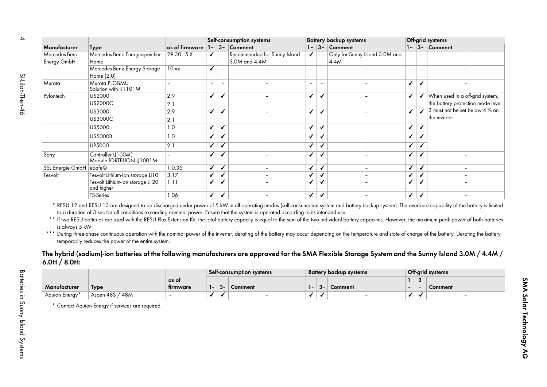|                                             |                                                                                                                                                                                                                                                                                                                                               |                                  |                         |                          | Self-consumption systems     |                          |                          | <b>Battery backup systems</b>                                                                                                                                                                                                                                                                                                                                                                                                                                                                                                                                                                                      |                         |                | Off-grid systems                  |
|---------------------------------------------|-----------------------------------------------------------------------------------------------------------------------------------------------------------------------------------------------------------------------------------------------------------------------------------------------------------------------------------------------|----------------------------------|-------------------------|--------------------------|------------------------------|--------------------------|--------------------------|--------------------------------------------------------------------------------------------------------------------------------------------------------------------------------------------------------------------------------------------------------------------------------------------------------------------------------------------------------------------------------------------------------------------------------------------------------------------------------------------------------------------------------------------------------------------------------------------------------------------|-------------------------|----------------|-----------------------------------|
| Manufacturer                                | <b>Type</b>                                                                                                                                                                                                                                                                                                                                   | as of firmware $1 - 3 -$ Comment |                         |                          |                              |                          |                          | $1 - 3 -$ Comment                                                                                                                                                                                                                                                                                                                                                                                                                                                                                                                                                                                                  |                         |                | $1 - 3 -$ Comment                 |
| Mercedes-Benz                               | Mercedes-Benz Energiespeicher                                                                                                                                                                                                                                                                                                                 | $29.30 - 5. X$                   | $\checkmark$            | $\sim$                   | Recommended for Sunny Island | ✔                        |                          | Only for Sunny Island 3.0M and                                                                                                                                                                                                                                                                                                                                                                                                                                                                                                                                                                                     | $\blacksquare$          |                |                                   |
| Energy GmbH                                 | Home                                                                                                                                                                                                                                                                                                                                          |                                  |                         |                          | 3.0M and 4.4M                |                          |                          | 4.4M                                                                                                                                                                                                                                                                                                                                                                                                                                                                                                                                                                                                               |                         |                |                                   |
|                                             | Mercedes-Benz Energy Storage                                                                                                                                                                                                                                                                                                                  | 10.xx                            | $\checkmark$            | $\equiv$                 |                              | $\overline{\phantom{a}}$ |                          |                                                                                                                                                                                                                                                                                                                                                                                                                                                                                                                                                                                                                    | $\blacksquare$          |                |                                   |
|                                             | Home (2.0)                                                                                                                                                                                                                                                                                                                                    |                                  |                         |                          |                              |                          |                          |                                                                                                                                                                                                                                                                                                                                                                                                                                                                                                                                                                                                                    |                         |                |                                   |
| Murata                                      | Murata PLC-BMU<br>Solution with IJ1101M                                                                                                                                                                                                                                                                                                       |                                  | $\bar{ }$               | $\overline{\phantom{a}}$ |                              | $\overline{\phantom{a}}$ | $\overline{\phantom{a}}$ | $\overline{a}$                                                                                                                                                                                                                                                                                                                                                                                                                                                                                                                                                                                                     | ✓                       | ✔              |                                   |
| Pylontech                                   | US2000                                                                                                                                                                                                                                                                                                                                        | 2.9                              | $\checkmark$            | ✓                        |                              | ✓                        | ✓                        |                                                                                                                                                                                                                                                                                                                                                                                                                                                                                                                                                                                                                    | ✓                       | $\checkmark$   | When used in a off-grid system,   |
|                                             | <b>US2000C</b>                                                                                                                                                                                                                                                                                                                                | 2.1                              |                         |                          |                              |                          |                          |                                                                                                                                                                                                                                                                                                                                                                                                                                                                                                                                                                                                                    |                         |                | the battery protection mode level |
|                                             | US3000                                                                                                                                                                                                                                                                                                                                        | 2.9                              | $\checkmark$            | ✓                        |                              | $\checkmark$             | ✓                        |                                                                                                                                                                                                                                                                                                                                                                                                                                                                                                                                                                                                                    | ✓                       | $\checkmark$   | 3 must not be set below 4 % on    |
|                                             | <b>US3000C</b>                                                                                                                                                                                                                                                                                                                                | 2.1                              |                         |                          |                              |                          |                          |                                                                                                                                                                                                                                                                                                                                                                                                                                                                                                                                                                                                                    |                         |                | the inverter.                     |
|                                             | <b>US5000</b>                                                                                                                                                                                                                                                                                                                                 | 1.0                              | ✔                       | ✓                        | $\blacksquare$               | ✔                        | ✔                        | $\blacksquare$                                                                                                                                                                                                                                                                                                                                                                                                                                                                                                                                                                                                     | ✓                       | ✓              |                                   |
|                                             |                                                                                                                                                                                                                                                                                                                                               |                                  |                         |                          |                              |                          |                          |                                                                                                                                                                                                                                                                                                                                                                                                                                                                                                                                                                                                                    |                         |                |                                   |
|                                             | <b>US5000B</b>                                                                                                                                                                                                                                                                                                                                | 1.0                              | ✔                       | ✔                        |                              | ✓                        | ✔                        | $\equiv$                                                                                                                                                                                                                                                                                                                                                                                                                                                                                                                                                                                                           | ✓                       | ✓              |                                   |
|                                             | <b>UP5000</b>                                                                                                                                                                                                                                                                                                                                 | 2.1                              | $\overline{\checkmark}$ | ✔                        | $\equiv$                     | $\checkmark$             | ✓                        | $\blacksquare$                                                                                                                                                                                                                                                                                                                                                                                                                                                                                                                                                                                                     | ✓                       | $\checkmark$   |                                   |
| Sony                                        | Controller IJ1004C<br>Module fORTELION IJ1001M                                                                                                                                                                                                                                                                                                |                                  | $\checkmark$            | ✔                        |                              | ✓                        | ✓                        |                                                                                                                                                                                                                                                                                                                                                                                                                                                                                                                                                                                                                    | ✓                       | ✔              |                                   |
| SSL Energie GmbH eSafe©                     |                                                                                                                                                                                                                                                                                                                                               | 1.0.35                           | ✓                       | $\checkmark$             |                              | $\checkmark$             | $\checkmark$             | $\equiv$                                                                                                                                                                                                                                                                                                                                                                                                                                                                                                                                                                                                           | ✓                       | $\checkmark$   |                                   |
| Tesvolt                                     | Tesvolt Lithium-Ion storage Li10                                                                                                                                                                                                                                                                                                              | 3.17                             | ✓                       | ✓                        | $\blacksquare$               | ✓                        | ✔                        | $\blacksquare$                                                                                                                                                                                                                                                                                                                                                                                                                                                                                                                                                                                                     | ✓                       | $\checkmark$   |                                   |
|                                             | Tesvolt Lithium-Ion storage Li 20<br>and higher                                                                                                                                                                                                                                                                                               | 1.11                             | ✓                       | ✔                        |                              | $\checkmark$             | ✓                        |                                                                                                                                                                                                                                                                                                                                                                                                                                                                                                                                                                                                                    | $\overline{\checkmark}$ | $\checkmark$   |                                   |
|                                             | TS-Series                                                                                                                                                                                                                                                                                                                                     | 1.06                             | $\overline{\checkmark}$ | $\checkmark$             |                              | $\checkmark$             | $\checkmark$             |                                                                                                                                                                                                                                                                                                                                                                                                                                                                                                                                                                                                                    | $\overline{\checkmark}$ | $\checkmark$   |                                   |
|                                             | * RESU 12 and RESU 13 are designed to be discharged under power of 5 kW in all operating modes (self-consumption system and battery-backup system). The overload capability of the battery is limited<br>to a duration of 3 sec for all conditions exceeding nominal power. Ensure that the system is operated according to its intended use. |                                  |                         |                          |                              |                          |                          |                                                                                                                                                                                                                                                                                                                                                                                                                                                                                                                                                                                                                    |                         |                |                                   |
| is always 5 kW.<br>* * *<br>$6.0H / 8.0H$ : | temporarily reduces the power of the entire system.                                                                                                                                                                                                                                                                                           |                                  |                         |                          | Self-consumption systems     |                          |                          | ** If two RESU batteries are used with the RESU Plus Extension Kit, the total battery capacity is equal to the sum of the two individual battery capacities. However, the maximum peak power of both batteries<br>During three-phase continuous operation with the nominal power of the inverter, derating of the battery may occur depending on the temperature and state of charge of the battery. Derating the battery<br>The hybrid (sodium)-ion batteries of the following manufacturers are approved for the SMA Flexible Storage System and the Sunny Island 3.0M / 4.4M /<br><b>Battery backup systems</b> |                         |                | Off-grid systems                  |
|                                             |                                                                                                                                                                                                                                                                                                                                               | as of                            |                         |                          |                              |                          |                          |                                                                                                                                                                                                                                                                                                                                                                                                                                                                                                                                                                                                                    | $\mathbf{1}$            | $\overline{3}$ |                                   |
| Manufacturer                                | <b>Type</b>                                                                                                                                                                                                                                                                                                                                   | firmware                         | $1 -$                   | $3-$                     | Comment                      | $1 -$                    | $3-$                     | Comment                                                                                                                                                                                                                                                                                                                                                                                                                                                                                                                                                                                                            |                         |                | Comment                           |
| Aquion Energy*                              | Aspen 48S / 48M                                                                                                                                                                                                                                                                                                                               |                                  | $\checkmark$            | ✔                        |                              | $\checkmark$             | ✓                        |                                                                                                                                                                                                                                                                                                                                                                                                                                                                                                                                                                                                                    | $\checkmark$            | ✓              |                                   |

<span id="page-3-0"></span>

|               |                     |          |     |    | Selt-consumption systems |        |         | Battery backup systems   |   | Off-grid systems |
|---------------|---------------------|----------|-----|----|--------------------------|--------|---------|--------------------------|---|------------------|
|               |                     | as ot    |     |    |                          |        |         |                          | ັ |                  |
| Manufacturer  | <b>Type</b>         | tirmware | . . | ~ک | Comment                  | $\sim$ | -<br>∽ک | Comment                  |   | Comment          |
| Aquion Energy | Aspen 48S,<br>' 48M |          |     |    | -                        |        |         | $\overline{\phantom{0}}$ |   |                  |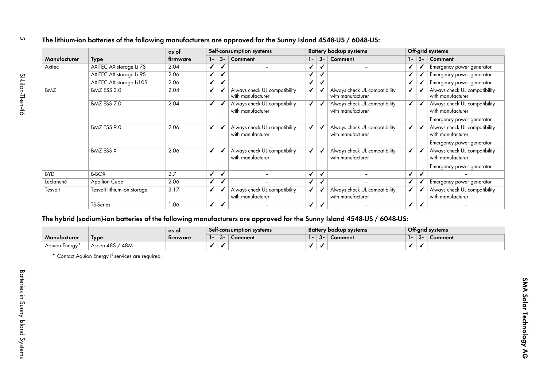| The lithium-ion batteries of the following manufacturers are approved for the Sunny Island 4548-US / 6048-US: |  |
|---------------------------------------------------------------------------------------------------------------|--|
|                                                                                                               |  |

| Manufacturer   |                             | as of    |                         |                         | Self-consumption systems                           |              |              | <b>Battery backup systems</b>                      |                         |              | Off-grid systems                                                                |
|----------------|-----------------------------|----------|-------------------------|-------------------------|----------------------------------------------------|--------------|--------------|----------------------------------------------------|-------------------------|--------------|---------------------------------------------------------------------------------|
|                | <b>Type</b>                 | firmware | $1 -$                   | $3-$                    | Comment                                            | $1 -$        | $ 3-$        | Comment                                            | $1 -$                   | $3 -$        | Comment                                                                         |
| Axitec         | AXITEC AXIstorage Li 7S     | 2.04     | ✓                       | ✓                       | $\frac{1}{2}$                                      | ✔            | ✔            | $\overline{\phantom{a}}$                           | ✓                       | ✓            | Emergency power generator                                                       |
|                | AXITEC AXIstorage Li 9S     | 2.06     | $\checkmark$            | $\checkmark$            |                                                    | ✔            | $\checkmark$ |                                                    | ✓                       | ✓            | Emergency power generator                                                       |
|                | AXITEC AXistorage Li10S     | 2.06     | $\checkmark$            | $\checkmark$            |                                                    | $\checkmark$ | $\checkmark$ | $\sim$                                             | ✓                       | ✓            | Emergency power generator                                                       |
| <b>BMZ</b>     | BMZ ESS 3.0                 | 2.04     | ✔                       | ✔                       | Always check UL compatibility<br>with manufacturer | ✓            | ✓            | Always check UL compatibility<br>with manufacturer | ✓                       | ✔            | Always check UL compatibility<br>with manufacturer                              |
|                | BMZ ESS 7.0                 | 2.04     | $\checkmark$            | ✓                       | Always check UL compatibility<br>with manufacturer | ✓            | $\checkmark$ | Always check UL compatibility<br>with manufacturer | $\overline{\checkmark}$ | $\checkmark$ | Always check UL compatibility<br>with manufacturer<br>Emergency power generator |
|                | BMZ ESS 9.0                 | 2.06     | ✔                       |                         | Always check UL compatibility<br>with manufacturer | ✓            | ✓            | Always check UL compatibility<br>with manufacturer | ✓                       | ✓            | Always check UL compatibility<br>with manufacturer<br>Emergency power generator |
|                | <b>BMZ ESS X</b>            | 2.06     | ✔                       | ✓                       | Always check UL compatibility<br>with manufacturer | ✔            | ✓            | Always check UL compatibility<br>with manufacturer | ✓                       |              | Always check UL compatibility<br>with manufacturer<br>Emergency power generator |
| <b>BYD</b>     | <b>B-BOX</b>                | 2.7      | ✓                       | ✓                       |                                                    | ✓            | $\checkmark$ |                                                    | ✓                       | $\checkmark$ |                                                                                 |
| Leclanché      | <b>Apollion Cube</b>        | 2.06     | $\checkmark$            | $\overline{\checkmark}$ |                                                    | ✔            | $\checkmark$ |                                                    | ✓                       | ✓            | Emergency power generator                                                       |
| Tesvolt        | Tesvolt lithium-ion storage | 3.17     | $\checkmark$            | ✔                       | Always check UL compatibility<br>with manufacturer | $\checkmark$ | ✓            | Always check UL compatibility<br>with manufacturer | ✓                       | $\checkmark$ | Always check UL compatibility<br>with manufacturer                              |
|                | <b>TS-Series</b>            | 1.06     | $\checkmark$            | $\checkmark$            |                                                    | $\checkmark$ | $\checkmark$ |                                                    | ✓                       | ✓            |                                                                                 |
|                |                             | as of    |                         |                         | Self-consumption systems                           |              |              | <b>Battery backup systems</b>                      |                         |              | Off-grid systems                                                                |
| Manufacturer   | <b>Type</b>                 | firmware | $1 -$                   | $3 -$                   | Comment                                            |              |              | $1 - 3 -$ Comment                                  |                         | $1 - 3 -$    | Comment                                                                         |
| Aquion Energy* | Aspen 48S / 48M             |          | $\overline{\checkmark}$ | ✓                       |                                                    | $\checkmark$ | ✓            | $\overline{\phantom{a}}$                           | $\overline{\checkmark}$ | $\checkmark$ |                                                                                 |
|                |                             |          |                         |                         |                                                    |              |              |                                                    |                         |              |                                                                                 |

|                |                    | as ot    |        |                | Self-consumption systems |     |     | Battery backup systems |     |              | Off-grid systems |
|----------------|--------------------|----------|--------|----------------|--------------------------|-----|-----|------------------------|-----|--------------|------------------|
| Manutacturer   | <b>lype</b>        | tirmware | $\sim$ | $\sim$<br>- ১∼ | Comment                  | . . | .ა∼ | Comment                | . . | $-3^{\circ}$ | Comment          |
| "Aquion Energy | Aspen 48S<br>' 48M |          |        |                | -                        |     |     |                        |     |              |                  |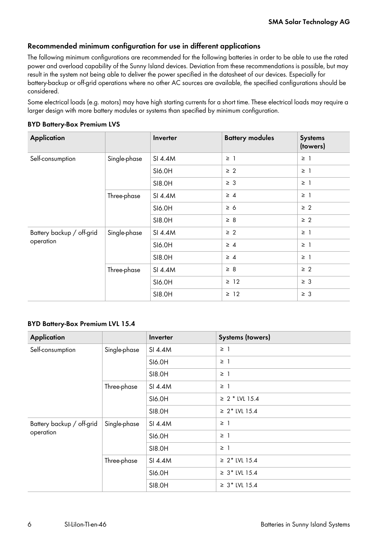# **Recommended minimum configuration for use in different applications**

The following minimum configurations are recommended for the following batteries in order to be able to use the rated power and overload capability of the Sunny Island devices. Deviation from these recommendations is possible, but may result in the system not being able to deliver the power specified in the datasheet of our devices. Especially for battery-backup or off-grid operations where no other AC sources are available, the specified configurations should be considered.

Some electrical loads (e.g. motors) may have high starting currents for a short time. These electrical loads may require a larger design with more battery modules or systems than specified by minimum configuration.

### **BYD Battery-Box Premium LVS**

| <b>Application</b>        |              | Inverter | <b>Battery modules</b> | <b>Systems</b><br>(towers) |
|---------------------------|--------------|----------|------------------------|----------------------------|
| Self-consumption          | Single-phase | SI 4.4M  | $\geq$ 1               | $\geq$ 1                   |
|                           |              | SI6.0H   | $\geq 2$               | $\geq$ 1                   |
|                           |              | SI8.0H   | $\geq 3$               | $\geq$ 1                   |
|                           | Three-phase  | SI 4.4M  | $\geq 4$               | $\geq$ 1                   |
|                           |              | SI6.0H   | $\geq 6$               | $\geq 2$                   |
|                           |              | SI8.0H   | $\geq 8$               | $\geq 2$                   |
| Battery backup / off-grid | Single-phase | SI 4.4M  | $\geq 2$               | $\geq$ 1                   |
| operation                 |              | SI6.0H   | $\geq 4$               | $\geq$ 1                   |
|                           |              | SI8.0H   | $\geq 4$               | $\geq$ 1                   |
|                           | Three-phase  | SI 4.4M  | $\geq 8$               | $\geq 2$                   |
|                           |              | SI6.0H   | $\geq$ 12              | $\geq 3$                   |
|                           |              | SI8.0H   | $\geq$ 12              | $\geq 3$                   |

### **BYD Battery-Box Premium LVL 15.4**

| <b>Application</b>        |              | Inverter | <b>Systems (towers)</b> |
|---------------------------|--------------|----------|-------------------------|
| Self-consumption          | Single-phase | SI 4.4M  | $\geq$ 1                |
|                           |              | SI6.0H   | $\geq$ 1                |
|                           |              | SI8.0H   | $\geq$ 1                |
|                           | Three-phase  | SI 4.4M  | $\geq$ 1                |
|                           |              | SI6.0H   | $\geq 2$ * LVL 15.4     |
|                           |              | SI8.0H   | ≥ $2*$ LVL 15.4         |
| Battery backup / off-grid | Single-phase | SI 4.4M  | $\geq$ 1                |
| operation                 |              | SI6.0H   | $\geq$ 1                |
|                           |              | SI8.0H   | $\geq$ 1                |
|                           | Three-phase  | SI 4.4M  | $\geq 2$ * LVL 15.4     |
|                           |              | SI6.0H   | $\geq 3$ * LVL 15.4     |
|                           |              | SI8.0H   | ≥ $3*$ LVL 15.4         |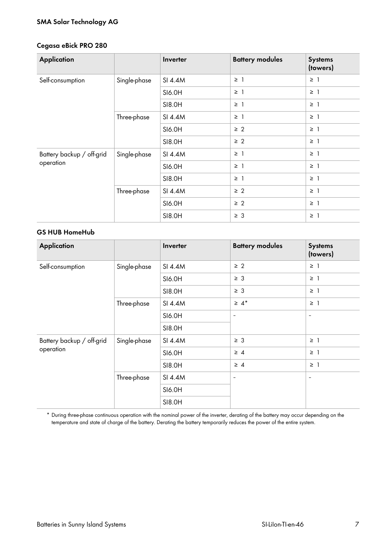# **SMA Solar Technology AG**

### **Cegasa eBick PRO 280**

| <b>Application</b>        |              | Inverter | <b>Battery modules</b> | <b>Systems</b><br>(towers) |
|---------------------------|--------------|----------|------------------------|----------------------------|
| Self-consumption          | Single-phase | SI 4.4M  | $\geq$ 1               | $\geq$ 1                   |
|                           |              | SI6.0H   | $\geq$ 1               | $\geq$ 1                   |
|                           |              | SI8.0H   | $\geq$ 1               | $\geq$ 1                   |
|                           | Three-phase  | SI 4.4M  | $\geq$ 1               | $\geq$ 1                   |
|                           |              | SI6.0H   | $\geq 2$               | $\geq$ 1                   |
|                           |              | SI8.0H   | $\geq 2$               | $\geq$ 1                   |
| Battery backup / off-grid | Single-phase | SI 4.4M  | $\geq$ 1               | $\geq$ 1                   |
| operation                 |              | SI6.0H   | $\geq$ 1               | $\geq$ 1                   |
|                           |              | SI8.0H   | $\geq$ 1               | $\geq$ 1                   |
|                           | Three-phase  | SI 4.4M  | $\geq 2$               | $\geq$ 1                   |
|                           |              | SI6.0H   | $\geq 2$               | $\geq$ 1                   |
|                           |              | SI8.0H   | $\geq 3$               | $\geq$ 1                   |

### **GS HUB HomeHub**

| <b>Application</b>        |              | Inverter | <b>Battery modules</b>   | <b>Systems</b><br>(towers) |
|---------------------------|--------------|----------|--------------------------|----------------------------|
| Self-consumption          | Single-phase | SI 4.4M  | $\geq 2$                 | $\geq$ 1                   |
|                           |              | SI6.0H   | $\geq 3$                 | $\geq$ 1                   |
|                           |              | SI8.0H   | $\geq 3$                 | $\geq$ 1                   |
|                           | Three-phase  | SI 4.4M  | $\geq 4^*$               | $\geq$ 1                   |
|                           |              | SI6.0H   | $\overline{\phantom{a}}$ | $\overline{\phantom{0}}$   |
|                           |              | SI8.0H   |                          |                            |
| Battery backup / off-grid | Single-phase | SI 4.4M  | $\geq 3$                 | $\geq$ 1                   |
| operation                 |              | SI6.0H   | $\geq 4$                 | $\geq$ 1                   |
|                           |              | SI8.0H   | $\geq 4$                 | $\geq$ 1                   |
|                           | Three-phase  | SI 4.4M  | $\overline{\phantom{m}}$ | $\qquad \qquad -$          |
|                           |              | SI6.0H   |                          |                            |
|                           |              | SI8.0H   |                          |                            |

\* During three-phase continuous operation with the nominal power of the inverter, derating of the battery may occur depending on the temperature and state of charge of the battery. Derating the battery temporarily reduces the power of the entire system.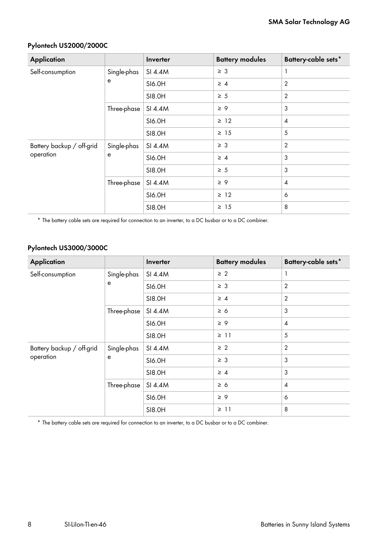| <b>Application</b>        |                  | Inverter | <b>Battery modules</b> | Battery-cable sets* |  |
|---------------------------|------------------|----------|------------------------|---------------------|--|
| Self-consumption          | Single-phas      | SI 4.4M  | $\geq 3$               | 1                   |  |
|                           | e                | SI6.0H   | $\geq 4$               | $\overline{2}$      |  |
|                           |                  | SI8.0H   | $\geq 5$               | $\overline{2}$      |  |
|                           | Three-phase      | SI 4.4M  | $\geq 9$               | $\mathfrak{Z}$      |  |
|                           |                  | SI6.0H   | $\geq$ 12              | $\overline{4}$      |  |
|                           |                  | SI8.0H   | $\geq$ 15              | 5                   |  |
| Battery backup / off-grid | Single-phas<br>e | SI 4.4M  | $\geq 3$               | $\overline{2}$      |  |
| operation                 |                  | SI6.0H   | $\geq 4$               | 3                   |  |
|                           |                  | SI8.0H   | $\geq 5$               | $\mathfrak{Z}$      |  |
|                           | Three-phase      | SI 4.4M  | $\geq 9$               | $\overline{4}$      |  |
|                           |                  | SI6.0H   | $\geq$ 12              | 6                   |  |
|                           |                  | SI8.0H   | $\geq 15$              | 8                   |  |

# **Pylontech US2000/2000C**

\* The battery cable sets are required for connection to an inverter, to a DC busbar or to a DC combiner.

# **Pylontech US3000/3000C**

| <b>Application</b>        |                  | Inverter | <b>Battery modules</b> | Battery-cable sets* |  |
|---------------------------|------------------|----------|------------------------|---------------------|--|
| Self-consumption          | Single-phas      | SI 4.4M  | $\geq 2$               | 1                   |  |
|                           | e                | SI6.0H   | $\geq 3$               | $\overline{2}$      |  |
|                           |                  | SI8.0H   | $\geq 4$               | $\overline{2}$      |  |
|                           | Three-phase      | SI 4.4M  | $\geq 6$               | 3                   |  |
|                           |                  | SI6.0H   | $\geq 9$               | $\overline{4}$      |  |
|                           |                  | SI8.0H   | $\geq$ 11              | 5                   |  |
| Battery backup / off-grid | Single-phas<br>e | SI 4.4M  | $\geq 2$               | $\overline{2}$      |  |
| operation                 |                  | SI6.0H   | $\geq 3$               | 3                   |  |
|                           |                  | SI8.0H   | $\geq 4$               | $\mathfrak{Z}$      |  |
|                           | Three-phase      | SI 4.4M  | $\geq 6$               | $\overline{4}$      |  |
|                           |                  | SI6.0H   | $\geq 9$               | 6                   |  |
|                           |                  | SI8.0H   | $\geq$ 11              | 8                   |  |

\* The battery cable sets are required for connection to an inverter, to a DC busbar or to a DC combiner.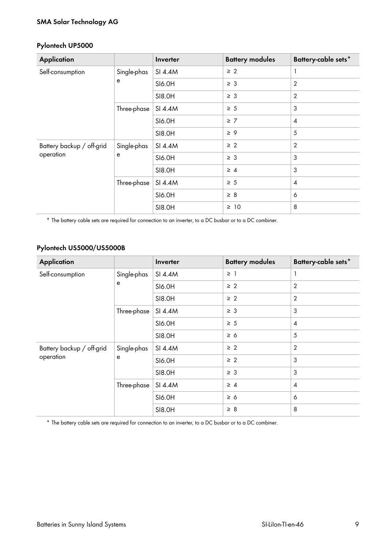# **SMA Solar Technology AG**

### **Pylontech UP5000**

| <b>Application</b>                     |                  | Inverter | <b>Battery modules</b> | Battery-cable sets*      |
|----------------------------------------|------------------|----------|------------------------|--------------------------|
| Self-consumption                       | Single-phas<br>e | SI 4.4M  | $\geq 2$               | 1                        |
|                                        |                  | SI6.0H   | $\geq 3$               | $\overline{2}$           |
|                                        |                  | SI8.0H   | $\geq 3$               | $\overline{2}$           |
|                                        | Three-phase      | SI 4.4M  | $\geq 5$               | 3                        |
|                                        |                  | SI6.0H   | $\geq 7$               | $\boldsymbol{4}$         |
|                                        |                  | SI8.0H   | $\geq 9$               | 5                        |
| Battery backup / off-grid<br>operation | Single-phas<br>e | SI 4.4M  | $\geq 2$               | $\overline{2}$           |
|                                        |                  | SI6.0H   | $\geq 3$               | 3                        |
|                                        |                  | SI8.0H   | $\geq 4$               | 3                        |
|                                        | Three-phase      | SI 4.4M  | $\geq 5$               | $\overline{\mathcal{A}}$ |
|                                        |                  | SI6.0H   | $\geq 8$               | 6                        |
|                                        |                  | SI8.0H   | $\geq 10$              | 8                        |

\* The battery cable sets are required for connection to an inverter, to a DC busbar or to a DC combiner.

# **Pylontech US5000/US5000B**

| <b>Application</b>                     |                  | Inverter | <b>Battery modules</b> | Battery-cable sets* |
|----------------------------------------|------------------|----------|------------------------|---------------------|
| Self-consumption                       | Single-phas<br>e | SI 4.4M  | $\geq$ 1               | $\mathbf{1}$        |
|                                        |                  | SI6.0H   | $\geq 2$               | $\overline{2}$      |
|                                        |                  | SI8.0H   | $\geq 2$               | $\overline{2}$      |
|                                        | Three-phase      | SI 4.4M  | $\geq 3$               | 3                   |
|                                        |                  | SI6.0H   | $\geq 5$               | $\overline{4}$      |
|                                        |                  | SI8.0H   | $\geq 6$               | 5                   |
| Battery backup / off-grid<br>operation | Single-phas<br>e | SI 4.4M  | $\geq 2$               | $\overline{2}$      |
|                                        |                  | SI6.0H   | $\geq 2$               | $\mathfrak{Z}$      |
|                                        |                  | SI8.0H   | $\geq 3$               | 3                   |
|                                        | Three-phase      | SI 4.4M  | $\geq 4$               | $\overline{4}$      |
|                                        |                  | SI6.0H   | $\geq 6$               | 6                   |
|                                        |                  | SI8.0H   | $\geq 8$               | 8                   |

\* The battery cable sets are required for connection to an inverter, to a DC busbar or to a DC combiner.